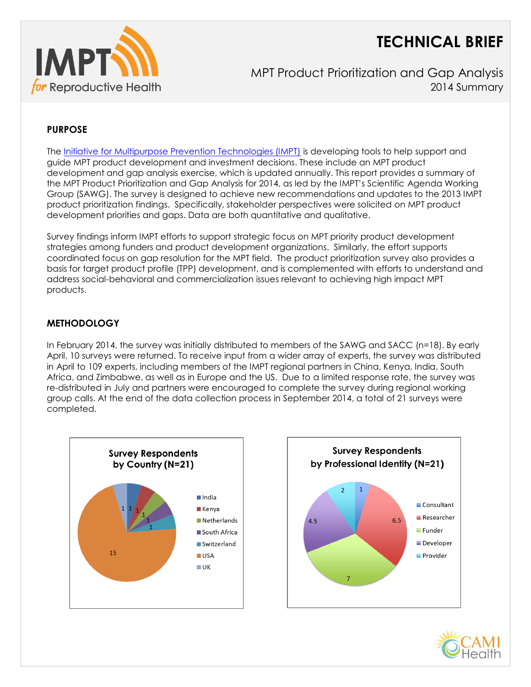# **TECHNICAL BRIEF**



MPT Product Prioritization and Gap Analysis 2014 Summary

# **PURPOSE**

The [Initiative for Multipurpose Prevention Technologies \(IMPT\)](http://www.mpts101.org/) is developing tools to help support and guide MPT product development and investment decisions. These include an MPT product development and gap analysis exercise, which is updated annually. This report provides a summary of the MPT Product Prioritization and Gap Analysis for 2014, as led by the IMPT's Scientific Agenda Working Group (SAWG). The survey is designed to achieve new recommendations and updates to the 2013 IMPT product prioritization findings. Specifically, stakeholder perspectives were solicited on MPT product development priorities and gaps. Data are both quantitative and qualitative.

Survey findings inform IMPT efforts to support strategic focus on MPT priority product development strategies among funders and product development organizations. Similarly, the effort supports coordinated focus on gap resolution for the MPT field. The product prioritization survey also provides a basis for target product profile (TPP) development, and is complemented with efforts to understand and address social-behavioral and commercialization issues relevant to achieving high impact MPT products.

## **METHODOLOGY**

In February 2014, the survey was initially distributed to members of the SAWG and SACC (n=18). By early April, 10 surveys were returned. To receive input from a wider array of experts, the survey was distributed in April to 109 experts, including members of the IMPT regional partners in China, Kenya, India, South Africa, and Zimbabwe, as well as in Europe and the US. Due to a limited response rate, the survey was re-distributed in July and partners were encouraged to complete the survey during regional working group calls. At the end of the data collection process in September 2014, a total of 21 surveys were completed.